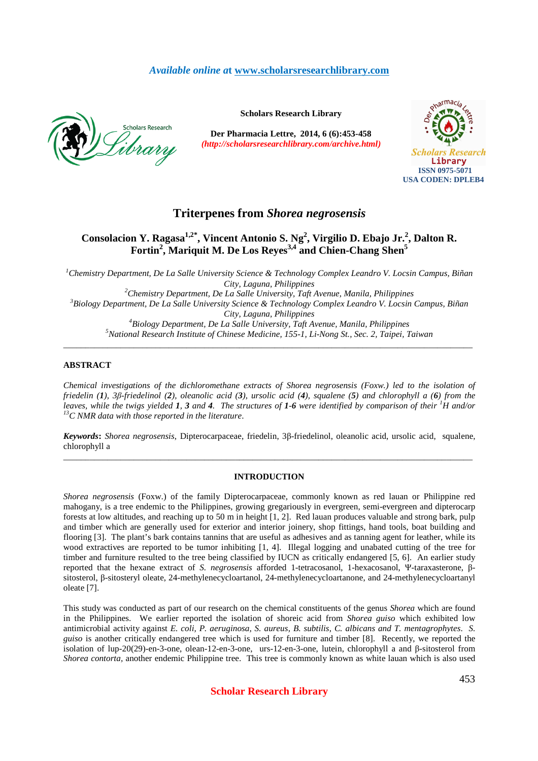## *Available online a***t www.scholarsresearchlibrary.com**



**Scholars Research Library** 

**Der Pharmacia Lettre, 2014, 6 (6):453-458** *(http://scholarsresearchlibrary.com/archive.html)*



# **Triterpenes from** *Shorea negrosensis*

# **Consolacion Y. Ragasa1,2\*, Vincent Antonio S. Ng<sup>2</sup> , Virgilio D. Ebajo Jr.<sup>2</sup> , Dalton R. Fortin<sup>2</sup> , Mariquit M. De Los Reyes3,4 and Chien-Chang Shen<sup>5</sup>**

*<sup>1</sup>Chemistry Department, De La Salle University Science & Technology Complex Leandro V. Locsin Campus, Biñan City, Laguna, Philippines <sup>2</sup>Chemistry Department, De La Salle University, Taft Avenue, Manila, Philippines* 

*<sup>3</sup>Biology Department, De La Salle University Science & Technology Complex Leandro V. Locsin Campus, Biñan City, Laguna, Philippines* 

*<sup>4</sup>Biology Department, De La Salle University, Taft Avenue, Manila, Philippines <sup>5</sup>National Research Institute of Chinese Medicine, 155-1, Li-Nong St., Sec. 2, Taipei, Taiwan*  \_\_\_\_\_\_\_\_\_\_\_\_\_\_\_\_\_\_\_\_\_\_\_\_\_\_\_\_\_\_\_\_\_\_\_\_\_\_\_\_\_\_\_\_\_\_\_\_\_\_\_\_\_\_\_\_\_\_\_\_\_\_\_\_\_\_\_\_\_\_\_\_\_\_\_\_\_\_\_\_\_\_\_\_\_\_\_\_\_\_\_\_\_

## **ABSTRACT**

*Chemical investigations of the dichloromethane extracts of Shorea negrosensis (Foxw.) led to the isolation of friedelin (1), 3β-friedelinol (2), oleanolic acid (3), ursolic acid (4), squalene (5) and chlorophyll a (6) from the leaves, while the twigs yielded 1, 3 and 4. The structures of 1-6 were identified by comparison of their <sup>1</sup>H and/or <sup>13</sup>C NMR data with those reported in the literature*.

*Keywords***:** *Shorea negrosensis*, Dipterocarpaceae, friedelin, 3β-friedelinol, oleanolic acid, ursolic acid, squalene, chlorophyll a \_\_\_\_\_\_\_\_\_\_\_\_\_\_\_\_\_\_\_\_\_\_\_\_\_\_\_\_\_\_\_\_\_\_\_\_\_\_\_\_\_\_\_\_\_\_\_\_\_\_\_\_\_\_\_\_\_\_\_\_\_\_\_\_\_\_\_\_\_\_\_\_\_\_\_\_\_\_\_\_\_\_\_\_\_\_\_\_\_\_\_\_\_

#### **INTRODUCTION**

*Shorea negrosensis* (Foxw.) of the family Dipterocarpaceae, commonly known as red lauan or Philippine red mahogany, is a tree endemic to the Philippines, growing gregariously in evergreen, semi-evergreen and dipterocarp forests at low altitudes, and reaching up to 50 m in height [1, 2]. Red lauan produces valuable and strong bark, pulp and timber which are generally used for exterior and interior joinery, shop fittings, hand tools, boat building and flooring [3]. The plant's bark contains tannins that are useful as adhesives and as tanning agent for leather, while its wood extractives are reported to be tumor inhibiting [1, 4]. Illegal logging and unabated cutting of the tree for timber and furniture resulted to the tree being classified by IUCN as critically endangered [5, 6]. An earlier study reported that the hexane extract of *S. negrosensis* afforded 1-tetracosanol, 1-hexacosanol, Ψ-taraxasterone, βsitosterol, β-sitosteryl oleate, 24-methylenecycloartanol, 24-methylenecycloartanone, and 24-methylenecycloartanyl oleate [7].

This study was conducted as part of our research on the chemical constituents of the genus *Shorea* which are found in the Philippines. We earlier reported the isolation of shoreic acid from *Shorea guiso* which exhibited low antimicrobial activity against *E. coli, P. aeruginosa, S. aureus, B. subtilis, C. albicans and T. mentagrophytes*. *S. guiso* is another critically endangered tree which is used for furniture and timber [8]. Recently, we reported the isolation of lup-20(29)-en-3-one, olean-12-en-3-one, urs-12-en-3-one, lutein, chlorophyll a and β-sitosterol from *Shorea contorta,* another endemic Philippine tree. This tree is commonly known as white lauan which is also used

**Scholar Research Library**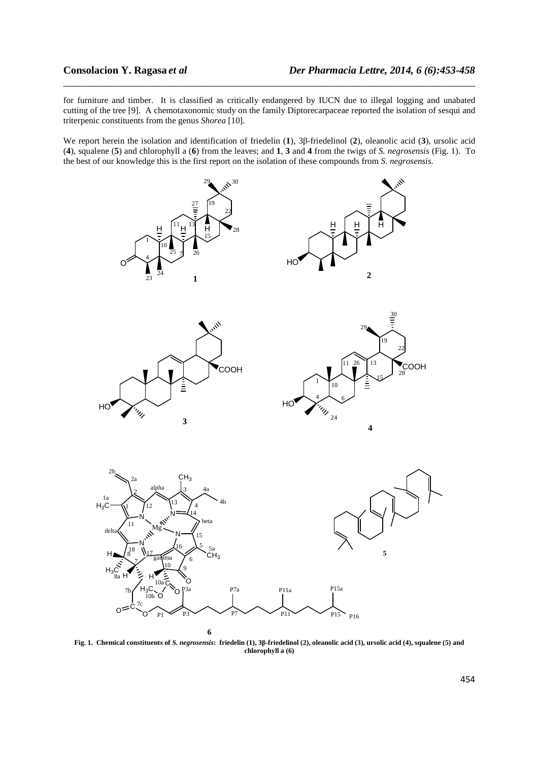for furniture and timber. It is classified as critically endangered by IUCN due to illegal logging and unabated cutting of the tree [9]. A chemotaxonomic study on the family Diptorecarpaceae reported the isolation of sesqui and triterpenic constituents from the genus *Shorea* [10].

\_\_\_\_\_\_\_\_\_\_\_\_\_\_\_\_\_\_\_\_\_\_\_\_\_\_\_\_\_\_\_\_\_\_\_\_\_\_\_\_\_\_\_\_\_\_\_\_\_\_\_\_\_\_\_\_\_\_\_\_\_\_\_\_\_\_\_\_\_\_\_\_\_\_\_\_\_\_

We report herein the isolation and identification of friedelin (**1**), 3β-friedelinol (**2**), oleanolic acid (**3**), ursolic acid (**4**), squalene (**5**) and chlorophyll a (**6**) from the leaves; and **1**, **3** and **4** from the twigs of *S. negrosensis* (Fig. 1). To the best of our knowledge this is the first report on the isolation of these compounds from *S. negrosensis.* 



**Fig. 1. Chemical constituents of** *S. negrosensis***: friedelin (1), 3β-friedelinol (2), oleanolic acid (3), ursolic acid (4), squalene (5) and chlorophyll a (6)**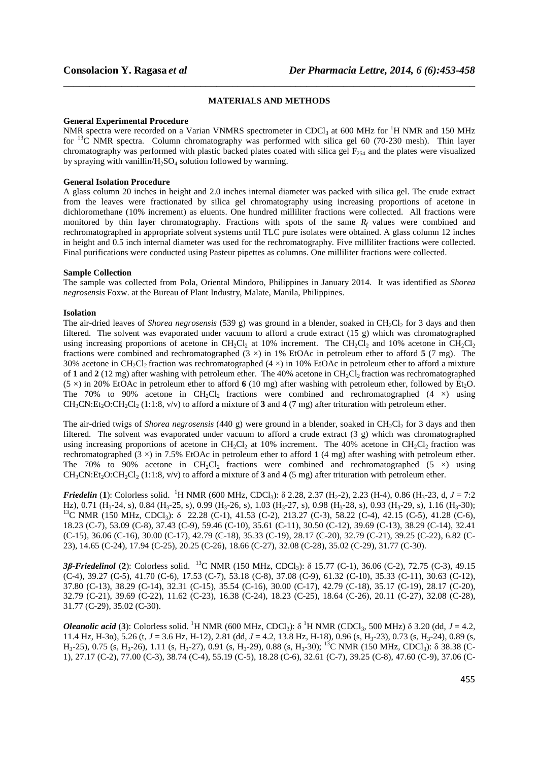# \_\_\_\_\_\_\_\_\_\_\_\_\_\_\_\_\_\_\_\_\_\_\_\_\_\_\_\_\_\_\_\_\_\_\_\_\_\_\_\_\_\_\_\_\_\_\_\_\_\_\_\_\_\_\_\_\_\_\_\_\_\_\_\_\_\_\_\_\_\_\_\_\_\_\_\_\_\_ **MATERIALS AND METHODS**

#### **General Experimental Procedure**

NMR spectra were recorded on a Varian VNMRS spectrometer in CDCl<sub>3</sub> at 600 MHz for <sup>1</sup>H NMR and 150 MHz for  $^{13}$ C NMR spectra. Column chromatography was performed with silica gel 60 (70-230 mesh). Thin layer chromatography was performed with plastic backed plates coated with silica gel  $F_{254}$  and the plates were visualized by spraying with vanillin/ $H_2SO_4$  solution followed by warming.

### **General Isolation Procedure**

A glass column 20 inches in height and 2.0 inches internal diameter was packed with silica gel. The crude extract from the leaves were fractionated by silica gel chromatography using increasing proportions of acetone in dichloromethane (10% increment) as eluents. One hundred milliliter fractions were collected. All fractions were monitored by thin layer chromatography. Fractions with spots of the same *Rf* values were combined and rechromatographed in appropriate solvent systems until TLC pure isolates were obtained. A glass column 12 inches in height and 0.5 inch internal diameter was used for the rechromatography. Five milliliter fractions were collected. Final purifications were conducted using Pasteur pipettes as columns. One milliliter fractions were collected.

### **Sample Collection**

The sample was collected from Pola, Oriental Mindoro, Philippines in January 2014. It was identified as *Shorea negrosensis* Foxw. at the Bureau of Plant Industry, Malate, Manila, Philippines.

## **Isolation**

The air-dried leaves of *Shorea negrosensis* (539 g) was ground in a blender, soaked in CH<sub>2</sub>Cl<sub>2</sub> for 3 days and then filtered. The solvent was evaporated under vacuum to afford a crude extract  $(15 \text{ g})$  which was chromatographed using increasing proportions of acetone in  $CH_2Cl_2$  at 10% increment. The  $CH_2Cl_2$  and 10% acetone in  $CH_2Cl_2$ fractions were combined and rechromatographed  $(3 \times)$  in 1% EtOAc in petroleum ether to afford **5**  $(7 \text{ mg})$ . The 30% acetone in CH<sub>2</sub>Cl<sub>2</sub> fraction was rechromatographed (4  $\times$ ) in 10% EtOAc in petroleum ether to afford a mixture of 1 and 2 (12 mg) after washing with petroleum ether. The 40% acetone in CH<sub>2</sub>Cl<sub>2</sub> fraction was rechromatographed (5  $\times$ ) in 20% EtOAc in petroleum ether to afford **6** (10 mg) after washing with petroleum ether, followed by Et<sub>2</sub>O. The 70% to 90% acetone in  $CH_2Cl_2$  fractions were combined and rechromatographed (4  $\times$ ) using  $CH_3CN:Et_2O:CH_2Cl_2$  (1:1:8, v/v) to afford a mixture of **3** and **4** (7 mg) after trituration with petroleum ether.

The air-dried twigs of *Shorea negrosensis* (440 g) were ground in a blender, soaked in CH<sub>2</sub>Cl<sub>2</sub> for 3 days and then filtered. The solvent was evaporated under vacuum to afford a crude extract (3 g) which was chromatographed using increasing proportions of acetone in CH<sub>2</sub>Cl<sub>2</sub> at 10% increment. The 40% acetone in CH<sub>2</sub>Cl<sub>2</sub> fraction was rechromatographed (3 ×) in 7.5% EtOAc in petroleum ether to afford **1** (4 mg) after washing with petroleum ether. The 70% to 90% acetone in  $CH_2Cl_2$  fractions were combined and rechromatographed (5  $\times$ ) using  $CH_3CN:Et_2O:CH_2Cl_2 (1:1:8, v/v)$  to afford a mixture of **3** and **4** (5 mg) after trituration with petroleum ether.

*Friedelin* (1): Colorless solid. <sup>1</sup>H NMR (600 MHz, CDCl<sub>3</sub>):  $\delta$  2.28, 2.37 (H<sub>2</sub>-2), 2.23 (H-4), 0.86 (H<sub>3</sub>-23, d, *J* = 7:2 Hz), 0.71 (H3-24, s), 0.84 (H3-25, s), 0.99 (H3-26, s), 1.03 (H3-27, s), 0.98 (H3-28, s), 0.93 (H3-29, s), 1.16 (H3-30); <sup>13</sup>C NMR (150 MHz, CDCl<sub>3</sub>): δ 22.28 (C-1), 41.53 (C-2), 213.27 (C-3), 58.22 (C-4), 42.15 (C-5), 41.28 (C-6), 18.23 (C-7), 53.09 (C-8), 37.43 (C-9), 59.46 (C-10), 35.61 (C-11), 30.50 (C-12), 39.69 (C-13), 38.29 (C-14), 32.41 (C-15), 36.06 (C-16), 30.00 (C-17), 42.79 (C-18), 35.33 (C-19), 28.17 (C-20), 32.79 (C-21), 39.25 (C-22), 6.82 (C-23), 14.65 (C-24), 17.94 (C-25), 20.25 (C-26), 18.66 (C-27), 32.08 (C-28), 35.02 (C-29), 31.77 (C-30).

*3β-Friedelinol* (**2**): Colorless solid. <sup>13</sup>C NMR (150 MHz, CDCl3): δ 15.77 (C-1), 36.06 (C-2), 72.75 (C-3), 49.15 (C-4), 39.27 (C-5), 41.70 (C-6), 17.53 (C-7), 53.18 (C-8), 37.08 (C-9), 61.32 (C-10), 35.33 (C-11), 30.63 (C-12), 37.80 (C-13), 38.29 (C-14), 32.31 (C-15), 35.54 (C-16), 30.00 (C-17), 42.79 (C-18), 35.17 (C-19), 28.17 (C-20), 32.79 (C-21), 39.69 (C-22), 11.62 (C-23), 16.38 (C-24), 18.23 (C-25), 18.64 (C-26), 20.11 (C-27), 32.08 (C-28), 31.77 (C-29), 35.02 (C-30).

*Oleanolic acid* (3): Colorless solid. <sup>1</sup>H NMR (600 MHz, CDCl<sub>3</sub>):  $\delta$ <sup>1</sup>H NMR (CDCl<sub>3</sub>, 500 MHz)  $\delta$  3.20 (dd, *J* = 4.2, 11.4 Hz, H-3α), 5.26 (t, *J* = 3.6 Hz, H-12), 2.81 (dd, *J* = 4.2, 13.8 Hz, H-18), 0.96 (s, H<sub>3</sub>-23), 0.73 (s, H<sub>3</sub>-24), 0.89 (s,  $H_3$ -25), 0.75 (s, H<sub>3</sub>-26), 1.11 (s, H<sub>3</sub>-27), 0.91 (s, H<sub>3</sub>-29), 0.88 (s, H<sub>3</sub>-30); <sup>13</sup>C NMR (150 MHz, CDCl<sub>3</sub>): δ 38.38 (C-1), 27.17 (C-2), 77.00 (C-3), 38.74 (C-4), 55.19 (C-5), 18.28 (C-6), 32.61 (C-7), 39.25 (C-8), 47.60 (C-9), 37.06 (C-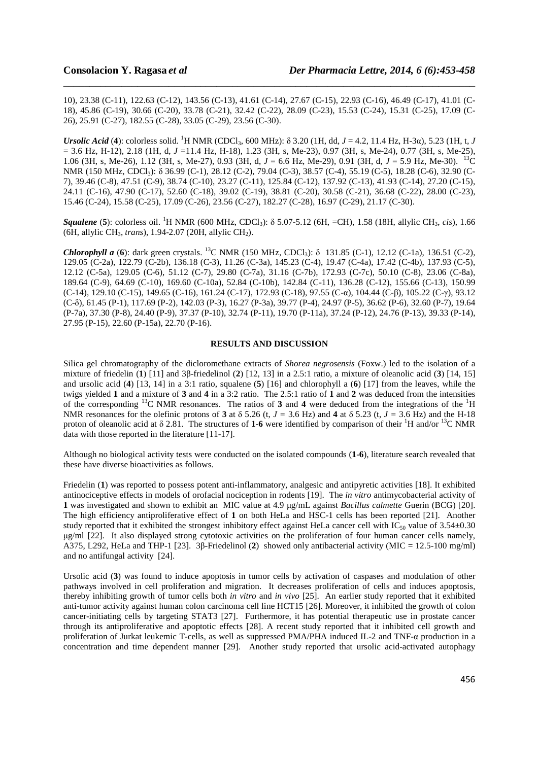10), 23.38 (C-11), 122.63 (C-12), 143.56 (C-13), 41.61 (C-14), 27.67 (C-15), 22.93 (C-16), 46.49 (C-17), 41.01 (C-18), 45.86 (C-19), 30.66 (C-20), 33.78 (C-21), 32.42 (C-22), 28.09 (C-23), 15.53 (C-24), 15.31 (C-25), 17.09 (C-26), 25.91 (C-27), 182.55 (C-28), 33.05 (C-29), 23.56 (C-30).

\_\_\_\_\_\_\_\_\_\_\_\_\_\_\_\_\_\_\_\_\_\_\_\_\_\_\_\_\_\_\_\_\_\_\_\_\_\_\_\_\_\_\_\_\_\_\_\_\_\_\_\_\_\_\_\_\_\_\_\_\_\_\_\_\_\_\_\_\_\_\_\_\_\_\_\_\_\_

*Ursolic Acid* (4): colorless solid. <sup>1</sup>H NMR (CDCl<sub>3</sub>, 600 MHz): δ 3.20 (1H, dd, *J* = 4.2, 11.4 Hz, H-3α), 5.23 (1H, t, *J* = 3.6 Hz, H-12), 2.18 (1H, d, *J* =11.4 Hz, H-18), 1.23 (3H, s, Me-23), 0.97 (3H, s, Me-24), 0.77 (3H, s, Me-25), 1.06 (3H, s, Me-26), 1.12 (3H, s, Me-27), 0.93 (3H, d, *J* = 6.6 Hz, Me-29), 0.91 (3H, d, *J* = 5.9 Hz, Me-30). <sup>13</sup>C NMR (150 MHz, CDCl<sub>3</sub>): δ 36.99 (C-1), 28.12 (C-2), 79.04 (C-3), 38.57 (C-4), 55.19 (C-5), 18.28 (C-6), 32.90 (C-7), 39.46 (C-8), 47.51 (C-9), 38.74 (C-10), 23.27 (C-11), 125.84 (C-12), 137.92 (C-13), 41.93 (C-14), 27.20 (C-15), 24.11 (C-16), 47.90 (C-17), 52.60 (C-18), 39.02 (C-19), 38.81 (C-20), 30.58 (C-21), 36.68 (C-22), 28.00 (C-23), 15.46 (C-24), 15.58 (C-25), 17.09 (C-26), 23.56 (C-27), 182.27 (C-28), 16.97 (C-29), 21.17 (C-30).

*Squalene* (**5**): colorless oil. <sup>1</sup>H NMR (600 MHz, CDCl3): δ 5.07-5.12 (6H, =CH), 1.58 (18H, allylic CH3, *cis*), 1.66 (6H, allylic CH3, *trans*), 1.94-2.07 (20H, allylic CH2).

*Chlorophyll a* (6): dark green crystals. <sup>13</sup>C NMR (150 MHz, CDCl<sub>3</sub>): δ 131.85 (C-1), 12.12 (C-1a), 136.51 (C-2), 129.05 (C-2a), 122.79 (C-2b), 136.18 (C-3), 11.26 (C-3a), 145.23 (C-4), 19.47 (C-4a), 17.42 (C-4b), 137.93 (C-5), 12.12 (C-5a), 129.05 (C-6), 51.12 (C-7), 29.80 (C-7a), 31.16 (C-7b), 172.93 (C-7c), 50.10 (C-8), 23.06 (C-8a), 189.64 (C-9), 64.69 (C-10), 169.60 (C-10a), 52.84 (C-10b), 142.84 (C-11), 136.28 (C-12), 155.66 (C-13), 150.99 (C-14), 129.10 (C-15), 149.65 (C-16), 161.24 (C-17), 172.93 (C-18), 97.55 (C-α), 104.44 (C-β), 105.22 (C-γ), 93.12 (C-δ), 61.45 (P-1), 117.69 (P-2), 142.03 (P-3), 16.27 (P-3a), 39.77 (P-4), 24.97 (P-5), 36.62 (P-6), 32.60 (P-7), 19.64 (P-7a), 37.30 (P-8), 24.40 (P-9), 37.37 (P-10), 32.74 (P-11), 19.70 (P-11a), 37.24 (P-12), 24.76 (P-13), 39.33 (P-14), 27.95 (P-15), 22.60 (P-15a), 22.70 (P-16).

## **RESULTS AND DISCUSSION**

Silica gel chromatography of the dicloromethane extracts of *Shorea negrosensis* (Foxw.) led to the isolation of a mixture of friedelin (**1**) [11] and 3β-friedelinol (**2**) [12, 13] in a 2.5:1 ratio, a mixture of oleanolic acid (**3**) [14, 15] and ursolic acid (**4**) [13, 14] in a 3:1 ratio, squalene (**5**) [16] and chlorophyll a (**6**) [17] from the leaves, while the twigs yielded **1** and a mixture of **3** and **4** in a 3:2 ratio. The 2.5:1 ratio of **1** and **2** was deduced from the intensities of the corresponding <sup>13</sup>C NMR resonances. The ratios of **3** and **4** were deduced from the integrations of the <sup>1</sup>H NMR resonances for the olefinic protons of **3** at δ 5.26 (t, *J =* 3.6 Hz) and **4** at δ 5.23 (t, *J =* 3.6 Hz) and the H-18 proton of oleanolic acid at  $\delta$  2.81. The structures of 1-6 were identified by comparison of their <sup>1</sup>H and/or <sup>13</sup>C NMR data with those reported in the literature [11-17].

Although no biological activity tests were conducted on the isolated compounds (**1**-**6**), literature search revealed that these have diverse bioactivities as follows.

Friedelin (**1**) was reported to possess potent anti-inflammatory, analgesic and antipyretic activities [18]. It exhibited antinociceptive effects in models of orofacial nociception in rodents [19]. The *in vitro* antimycobacterial activity of **1** was investigated and shown to exhibit an MIC value at 4.9 µg/mL against *Bacillus calmette* Guerin (BCG) [20]. The high efficiency antiproliferative effect of **1** on both HeLa and HSC-1 cells has been reported [21]. Another study reported that it exhibited the strongest inhibitory effect against HeLa cancer cell with  $IC_{50}$  value of  $3.54\pm0.30$ µg/ml [22]. It also displayed strong cytotoxic activities on the proliferation of four human cancer cells namely, A375, L292, HeLa and THP-1 [23]. 3β-Friedelinol (**2**) showed only antibacterial activity (MIC = 12.5-100 mg/ml) and no antifungal activity [24].

Ursolic acid (**3**) was found to induce apoptosis in tumor cells by activation of caspases and modulation of other pathways involved in cell proliferation and migration. It decreases proliferation of cells and induces apoptosis, thereby inhibiting growth of tumor cells both *in vitro* and *in vivo* [25]. An earlier study reported that it exhibited anti-tumor activity against human colon carcinoma cell line HCT15 [26]. Moreover, it inhibited the growth of colon cancer-initiating cells by targeting STAT3 [27]. Furthermore, it has potential therapeutic use in prostate cancer through its antiproliferative and apoptotic effects [28]. A recent study reported that it inhibited cell growth and proliferation of Jurkat leukemic T-cells, as well as suppressed PMA/PHA induced IL-2 and TNF-α production in a concentration and time dependent manner [29]. Another study reported that ursolic acid-activated autophagy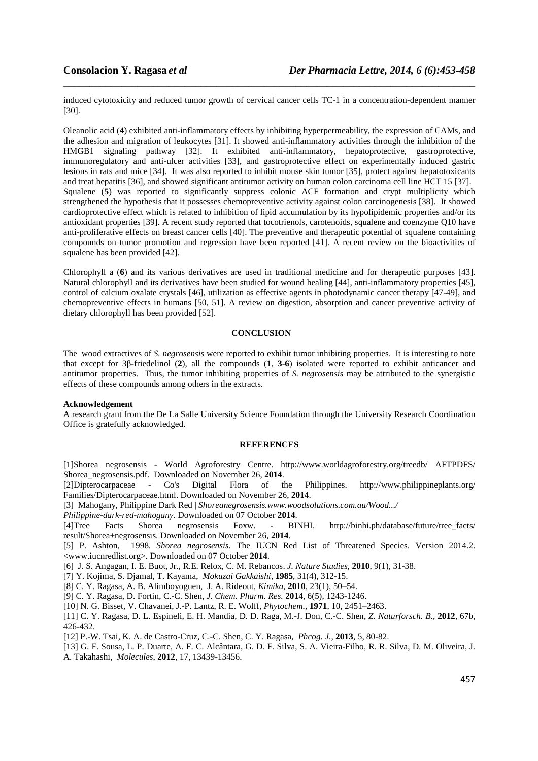induced cytotoxicity and reduced tumor growth of cervical cancer cells TC-1 in a concentration-dependent manner [30].

\_\_\_\_\_\_\_\_\_\_\_\_\_\_\_\_\_\_\_\_\_\_\_\_\_\_\_\_\_\_\_\_\_\_\_\_\_\_\_\_\_\_\_\_\_\_\_\_\_\_\_\_\_\_\_\_\_\_\_\_\_\_\_\_\_\_\_\_\_\_\_\_\_\_\_\_\_\_

Oleanolic acid (**4**) exhibited anti-inflammatory effects by inhibiting hyperpermeability, the expression of CAMs, and the adhesion and migration of leukocytes [31]. It showed anti-inflammatory activities through the inhibition of the HMGB1 signaling pathway [32]. It exhibited anti-inflammatory, hepatoprotective, gastroprotective, immunoregulatory and anti-ulcer activities [33], and gastroprotective effect on experimentally induced gastric lesions in rats and mice [34]. It was also reported to inhibit mouse skin tumor [35], protect against hepatotoxicants and treat hepatitis [36], and showed significant antitumor activity on human colon carcinoma cell line HCT 15 [37]. Squalene (5) was reported to significantly suppress colonic ACF formation and crypt multiplicity which strengthened the hypothesis that it possesses chemopreventive activity against colon carcinogenesis [38]. It showed cardioprotective effect which is related to inhibition of lipid accumulation by its hypolipidemic properties and/or its antioxidant properties [39]. A recent study reported that tocotrienols, carotenoids, squalene and coenzyme Q10 have anti-proliferative effects on breast cancer cells [40]. The preventive and therapeutic potential of squalene containing compounds on tumor promotion and regression have been reported [41]. A recent review on the bioactivities of squalene has been provided [42].

Chlorophyll a (**6**) and its various derivatives are used in traditional medicine and for therapeutic purposes [43]. Natural chlorophyll and its derivatives have been studied for wound healing [44], anti-inflammatory properties [45], control of calcium oxalate crystals [46], utilization as effective agents in photodynamic cancer therapy [47-49], and chemopreventive effects in humans [50, 51]. A review on digestion, absorption and cancer preventive activity of dietary chlorophyll has been provided [52].

#### **CONCLUSION**

The wood extractives of *S. negrosensis* were reported to exhibit tumor inhibiting properties. It is interesting to note that except for 3β-friedelinol (**2**), all the compounds (**1**, **3**-**6**) isolated were reported to exhibit anticancer and antitumor properties. Thus, the tumor inhibiting properties of *S. negrosensis* may be attributed to the synergistic effects of these compounds among others in the extracts.

#### **Acknowledgement**

A research grant from the De La Salle University Science Foundation through the University Research Coordination Office is gratefully acknowledged.

#### **REFERENCES**

[1]Shorea negrosensis - World Agroforestry Centre. http://www.worldagroforestry.org/treedb/ AFTPDFS/ Shorea\_negrosensis.pdf. Downloaded on November 26, **2014**.

[2]Dipterocarpaceae - Co's Digital Flora of the Philippines. http://www.philippineplants.org/ Families/Dipterocarpaceae.html. Downloaded on November 26, **2014**.

[3] Mahogany, Philippine Dark Red | *Shoreanegrosensis.www.woodsolutions.com.au/Wood.../*

*Philippine-dark-red-mahogany.* Downloaded on 07 October **2014**.

[4]Tree Facts Shorea negrosensis Foxw. - BINHI. http://binhi.ph/database/future/tree\_facts/ result/Shorea+negrosensis. Downloaded on November 26, **2014**.

[5] P. Ashton, 1998. *Shorea negrosensis*. The IUCN Red List of Threatened Species. Version 2014.2. <www.iucnredlist.org>. Downloaded on 07 October **2014**.

[6] J. S. Angagan, I. E. Buot, Jr., R.E. Relox, C. M. Rebancos. *J. Nature Studies*, **2010**, 9(1), 31-38.

[7] Y. Kojima, S. Djamal, T. Kayama, *Mokuzai Gakkaishi*, **1985**, 31(4), 312-15.

[8] C. Y. Ragasa, A. B. Alimboyoguen, J. A. Rideout, *Kimika,* **2010**, 23(1), 50–54.

[9] C. Y. Ragasa, D. Fortin, C.-C. Shen, *J. Chem. Pharm. Res.* **2014**, 6(5), 1243-1246.

[10] N. G. Bisset, V. Chavanei, J.-P. Lantz, R. E. Wolff, *Phytochem.,* **1971**, 10, 2451–2463.

[11] C. Y. Ragasa, D. L. Espineli, E. H. Mandia, D. D. Raga, M.-J. Don, C.-C. Shen, *Z. Naturforsch. B.,* **2012***,* 67b, 426-432.

[12] P.-W. Tsai, K. A. de Castro-Cruz, C.-C. Shen, C. Y. Ragasa, *Phcog. J.,* **2013**, 5, 80-82.

[13] G. F. Sousa, L. P. Duarte, A. F. C. Alcântara, G. D. F. Silva, S. A. Vieira-Filho, R. R. Silva, D. M. Oliveira, J. A. Takahashi, *Molecules,* **2012**, 17, 13439-13456.